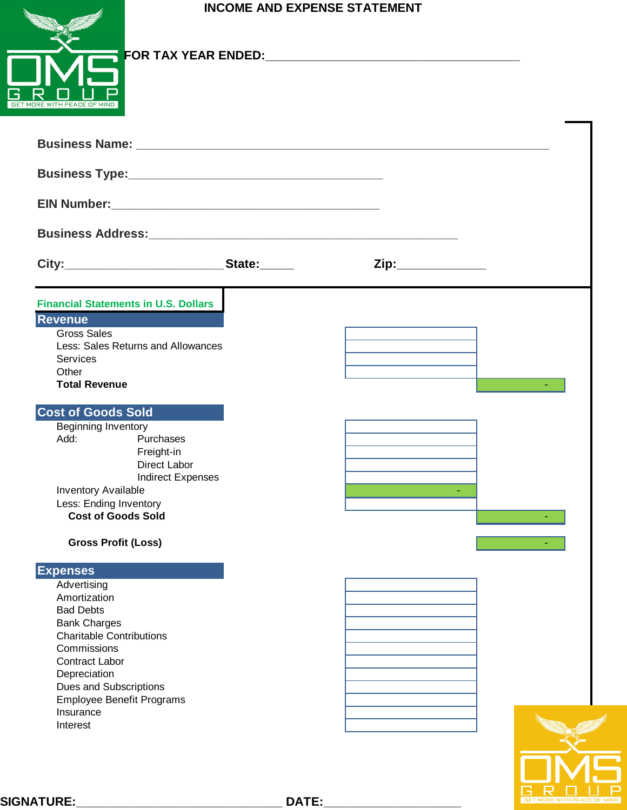## **INCOME AND EXPENSE STATEMENT**

| GET MORE WITH PEACE OF MIND |  |
|-----------------------------|--|

## **FOR TAX YEAR ENDED:\_\_\_\_\_\_\_\_\_\_\_\_\_\_\_\_\_\_\_\_\_\_\_\_\_\_\_\_\_\_\_\_\_\_\_\_\_**

| <b>JORE WITH PEACE OF MIND</b>                                                                                                                                                                                                                                |                    |  |
|---------------------------------------------------------------------------------------------------------------------------------------------------------------------------------------------------------------------------------------------------------------|--------------------|--|
|                                                                                                                                                                                                                                                               |                    |  |
|                                                                                                                                                                                                                                                               |                    |  |
|                                                                                                                                                                                                                                                               |                    |  |
|                                                                                                                                                                                                                                                               |                    |  |
|                                                                                                                                                                                                                                                               | Zip:______________ |  |
| <b>Financial Statements in U.S. Dollars</b><br><b>Revenue</b><br><b>Gross Sales</b><br>Less: Sales Returns and Allowances<br><b>Services</b><br>Other<br><b>Total Revenue</b>                                                                                 |                    |  |
| <b>Cost of Goods Sold</b><br><b>Beginning Inventory</b><br>Add:<br>Purchases<br>Freight-in<br>Direct Labor<br><b>Indirect Expenses</b><br>Inventory Available<br>Less: Ending Inventory<br><b>Cost of Goods Sold</b><br><b>Gross Profit (Loss)</b>            |                    |  |
| <b>Expenses</b><br>Advertising<br>Amortization<br><b>Bad Debts</b><br><b>Bank Charges</b><br><b>Charitable Contributions</b><br>Commissions<br>Contract Labor<br>Depreciation<br>Dues and Subscriptions<br>Employee Benefit Programs<br>Insurance<br>Interest |                    |  |

**SIGNATURE:\_\_\_\_\_\_\_\_\_\_\_\_\_\_\_\_\_\_\_\_\_\_\_\_\_\_\_\_\_\_ DATE:\_\_\_\_\_\_\_\_\_\_\_\_\_\_\_\_\_\_\_\_**

 $D U P$